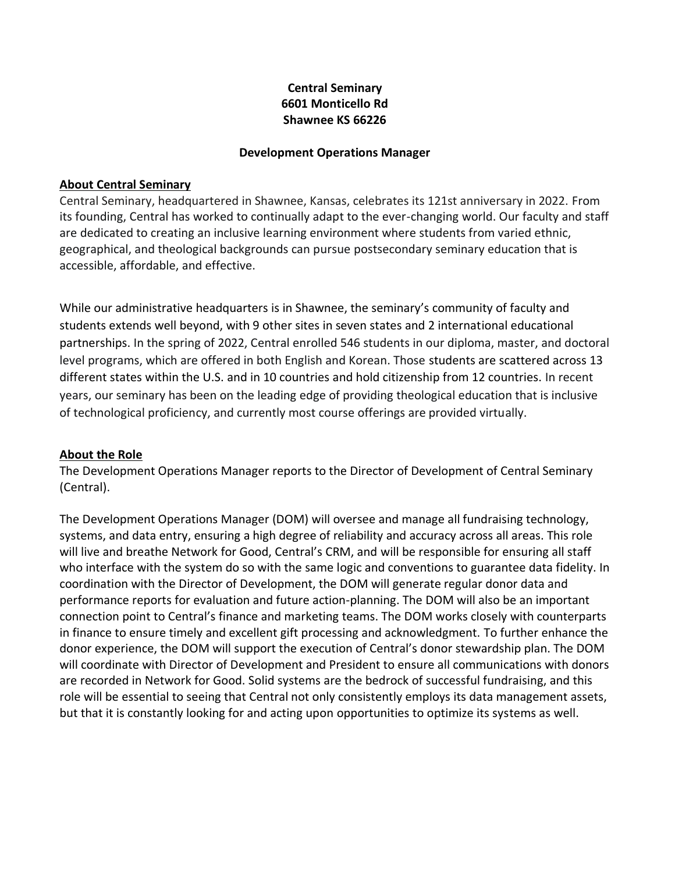# **Central Seminary 6601 Monticello Rd Shawnee KS 66226**

#### **Development Operations Manager**

#### **About Central Seminary**

Central Seminary, headquartered in Shawnee, Kansas, celebrates its 121st anniversary in 2022. From its founding, Central has worked to continually adapt to the ever-changing world. Our faculty and staff are dedicated to creating an inclusive learning environment where students from varied ethnic, geographical, and theological backgrounds can pursue postsecondary seminary education that is accessible, affordable, and effective.

While our administrative headquarters is in Shawnee, the seminary's community of faculty and students extends well beyond, with 9 other sites in seven states and 2 international educational partnerships. In the spring of 2022, Central enrolled 546 students in our diploma, master, and doctoral level programs, which are offered in both English and Korean. Those students are scattered across 13 different states within the U.S. and in 10 countries and hold citizenship from 12 countries. In recent years, our seminary has been on the leading edge of providing theological education that is inclusive of technological proficiency, and currently most course offerings are provided virtually.

### **About the Role**

The Development Operations Manager reports to the Director of Development of Central Seminary (Central).

The Development Operations Manager (DOM) will oversee and manage all fundraising technology, systems, and data entry, ensuring a high degree of reliability and accuracy across all areas. This role will live and breathe Network for Good, Central's CRM, and will be responsible for ensuring all staff who interface with the system do so with the same logic and conventions to guarantee data fidelity. In coordination with the Director of Development, the DOM will generate regular donor data and performance reports for evaluation and future action-planning. The DOM will also be an important connection point to Central's finance and marketing teams. The DOM works closely with counterparts in finance to ensure timely and excellent gift processing and acknowledgment. To further enhance the donor experience, the DOM will support the execution of Central's donor stewardship plan. The DOM will coordinate with Director of Development and President to ensure all communications with donors are recorded in Network for Good. Solid systems are the bedrock of successful fundraising, and this role will be essential to seeing that Central not only consistently employs its data management assets, but that it is constantly looking for and acting upon opportunities to optimize its systems as well.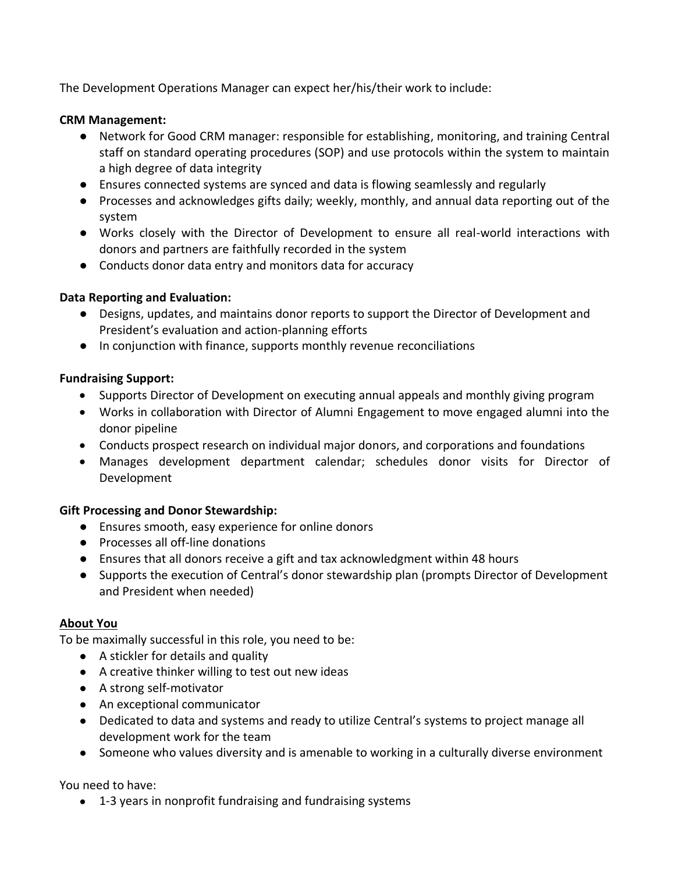The Development Operations Manager can expect her/his/their work to include:

## **CRM Management:**

- Network for Good CRM manager: responsible for establishing, monitoring, and training Central staff on standard operating procedures (SOP) and use protocols within the system to maintain a high degree of data integrity
- Ensures connected systems are synced and data is flowing seamlessly and regularly
- Processes and acknowledges gifts daily; weekly, monthly, and annual data reporting out of the system
- Works closely with the Director of Development to ensure all real-world interactions with donors and partners are faithfully recorded in the system
- Conducts donor data entry and monitors data for accuracy

# **Data Reporting and Evaluation:**

- Designs, updates, and maintains donor reports to support the Director of Development and President's evaluation and action-planning efforts
- In conjunction with finance, supports monthly revenue reconciliations

### **Fundraising Support:**

- Supports Director of Development on executing annual appeals and monthly giving program
- Works in collaboration with Director of Alumni Engagement to move engaged alumni into the donor pipeline
- Conducts prospect research on individual major donors, and corporations and foundations
- Manages development department calendar; schedules donor visits for Director of Development

### **Gift Processing and Donor Stewardship:**

- Ensures smooth, easy experience for online donors
- Processes all off-line donations
- Ensures that all donors receive a gift and tax acknowledgment within 48 hours
- Supports the execution of Central's donor stewardship plan (prompts Director of Development and President when needed)

# **About You**

To be maximally successful in this role, you need to be:

- A stickler for details and quality
- A creative thinker willing to test out new ideas
- A strong self-motivator
- An exceptional communicator
- Dedicated to data and systems and ready to utilize Central's systems to project manage all development work for the team
- Someone who values diversity and is amenable to working in a culturally diverse environment

You need to have:

● 1-3 years in nonprofit fundraising and fundraising systems